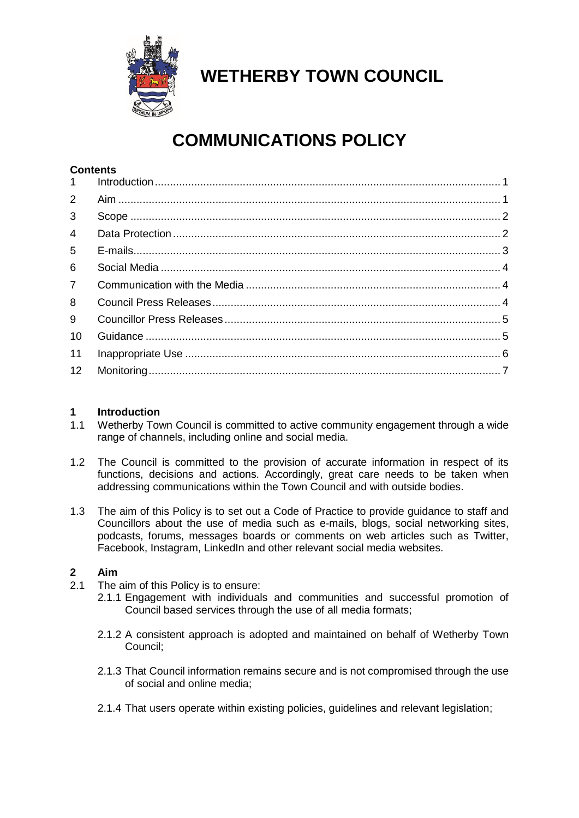

# **WETHERBY TOWN COUNCIL**

# **COMMUNICATIONS POLICY**

# **Contents**

| 1              |  |
|----------------|--|
| $\overline{2}$ |  |
| 3              |  |
| $\overline{4}$ |  |
| 5              |  |
| 6              |  |
| $\overline{7}$ |  |
| 8              |  |
| 9              |  |
| 10             |  |
| 11             |  |
| 12             |  |

## <span id="page-0-0"></span>**1 Introduction**

- 1.1 Wetherby Town Council is committed to active community engagement through a wide range of channels, including online and social media.
- 1.2 The Council is committed to the provision of accurate information in respect of its functions, decisions and actions. Accordingly, great care needs to be taken when addressing communications within the Town Council and with outside bodies.
- 1.3 The aim of this Policy is to set out a Code of Practice to provide guidance to staff and Councillors about the use of media such as e-mails, blogs, social networking sites, podcasts, forums, messages boards or comments on web articles such as Twitter, Facebook, Instagram, LinkedIn and other relevant social media websites.

## <span id="page-0-1"></span>**2 Aim**

- 2.1 The aim of this Policy is to ensure:
	- 2.1.1 Engagement with individuals and communities and successful promotion of Council based services through the use of all media formats;
	- 2.1.2 A consistent approach is adopted and maintained on behalf of Wetherby Town Council;
	- 2.1.3 That Council information remains secure and is not compromised through the use of social and online media;
	- 2.1.4 That users operate within existing policies, guidelines and relevant legislation;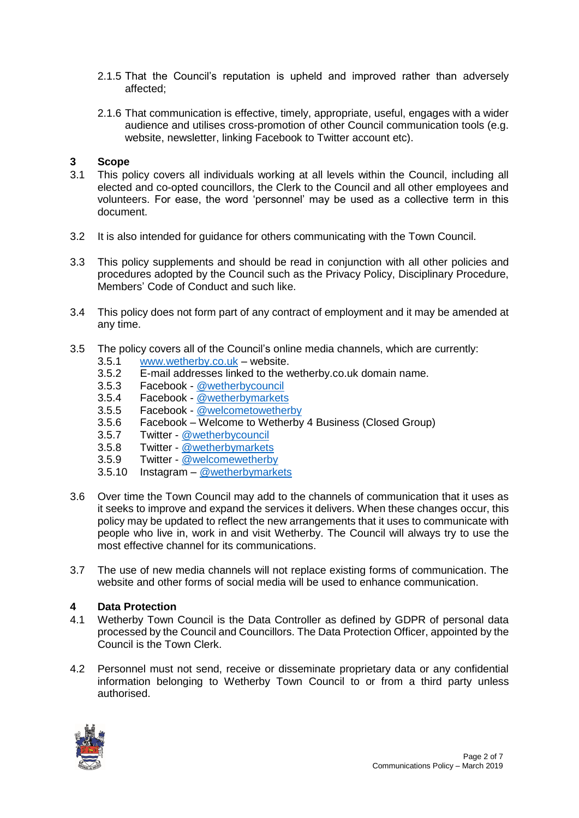- 2.1.5 That the Council's reputation is upheld and improved rather than adversely affected;
- 2.1.6 That communication is effective, timely, appropriate, useful, engages with a wider audience and utilises cross-promotion of other Council communication tools (e.g. website, newsletter, linking Facebook to Twitter account etc).

### <span id="page-1-0"></span>**3 Scope**

- 3.1 This policy covers all individuals working at all levels within the Council, including all elected and co-opted councillors, the Clerk to the Council and all other employees and volunteers. For ease, the word 'personnel' may be used as a collective term in this document.
- 3.2 It is also intended for guidance for others communicating with the Town Council.
- 3.3 This policy supplements and should be read in conjunction with all other policies and procedures adopted by the Council such as the Privacy Policy, Disciplinary Procedure, Members' Code of Conduct and such like.
- 3.4 This policy does not form part of any contract of employment and it may be amended at any time.
- 3.5 The policy covers all of the Council's online media channels, which are currently:
	- 3.5.1 [www.wetherby.co.uk](http://www.wetherby.co.uk/) website.
	- 3.5.2 E-mail addresses linked to the wetherby.co.uk domain name.
	- 3.5.3 Facebook [@wetherbycouncil](https://www.facebook.com/wetherbycouncil/)
	- 3.5.4 Facebook [@wetherbymarkets](https://www.facebook.com/wetherbymarkets/)
	- 3.5.5 Facebook [@welcometowetherby](https://www.facebook.com/WelcomeToWetherby/)
	- 3.5.6 Facebook Welcome to Wetherby 4 Business (Closed Group)
	- 3.5.7 Twitter [@wetherbycouncil](https://twitter.com/wetherbycouncil)
	- 3.5.8 Twitter [@wetherbymarkets](https://twitter.com/WetherbyMarkets)
	- 3.5.9 Twitter [@welcomewetherby](https://twitter.com/WelcomeWetherby)
	- 3.5.10 Instagram [@wetherbymarkets](https://www.instagram.com/wetherbymarkets/)
- 3.6 Over time the Town Council may add to the channels of communication that it uses as it seeks to improve and expand the services it delivers. When these changes occur, this policy may be updated to reflect the new arrangements that it uses to communicate with people who live in, work in and visit Wetherby. The Council will always try to use the most effective channel for its communications.
- 3.7 The use of new media channels will not replace existing forms of communication. The website and other forms of social media will be used to enhance communication.

#### <span id="page-1-1"></span>**4 Data Protection**

- 4.1 Wetherby Town Council is the Data Controller as defined by GDPR of personal data processed by the Council and Councillors. The Data Protection Officer, appointed by the Council is the Town Clerk.
- 4.2 Personnel must not send, receive or disseminate proprietary data or any confidential information belonging to Wetherby Town Council to or from a third party unless authorised.

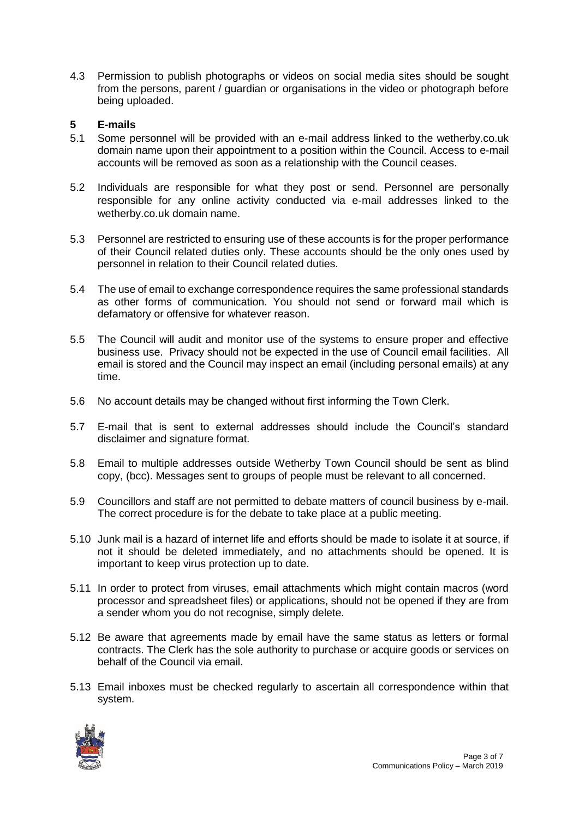4.3 Permission to publish photographs or videos on social media sites should be sought from the persons, parent / guardian or organisations in the video or photograph before being uploaded.

## <span id="page-2-0"></span>**5 E-mails**

- 5.1 Some personnel will be provided with an e-mail address linked to the wetherby.co.uk domain name upon their appointment to a position within the Council. Access to e-mail accounts will be removed as soon as a relationship with the Council ceases.
- 5.2 Individuals are responsible for what they post or send. Personnel are personally responsible for any online activity conducted via e-mail addresses linked to the wetherby.co.uk domain name.
- 5.3 Personnel are restricted to ensuring use of these accounts is for the proper performance of their Council related duties only. These accounts should be the only ones used by personnel in relation to their Council related duties.
- 5.4 The use of email to exchange correspondence requires the same professional standards as other forms of communication. You should not send or forward mail which is defamatory or offensive for whatever reason.
- 5.5 The Council will audit and monitor use of the systems to ensure proper and effective business use. Privacy should not be expected in the use of Council email facilities. All email is stored and the Council may inspect an email (including personal emails) at any time.
- 5.6 No account details may be changed without first informing the Town Clerk.
- 5.7 E-mail that is sent to external addresses should include the Council's standard disclaimer and signature format.
- 5.8 Email to multiple addresses outside Wetherby Town Council should be sent as blind copy, (bcc). Messages sent to groups of people must be relevant to all concerned.
- 5.9 Councillors and staff are not permitted to debate matters of council business by e-mail. The correct procedure is for the debate to take place at a public meeting.
- 5.10 Junk mail is a hazard of internet life and efforts should be made to isolate it at source, if not it should be deleted immediately, and no attachments should be opened. It is important to keep virus protection up to date.
- 5.11 In order to protect from viruses, email attachments which might contain macros (word processor and spreadsheet files) or applications, should not be opened if they are from a sender whom you do not recognise, simply delete.
- 5.12 Be aware that agreements made by email have the same status as letters or formal contracts. The Clerk has the sole authority to purchase or acquire goods or services on behalf of the Council via email.
- 5.13 Email inboxes must be checked regularly to ascertain all correspondence within that system.

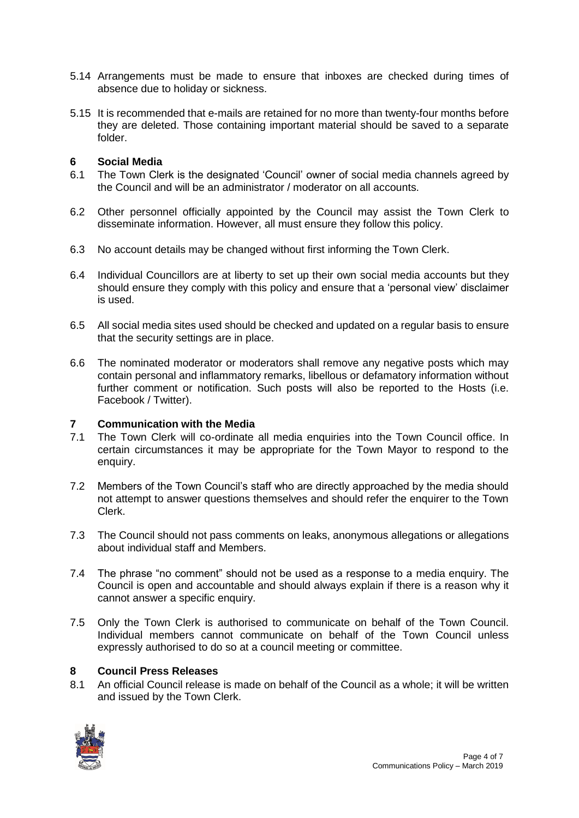- 5.14 Arrangements must be made to ensure that inboxes are checked during times of absence due to holiday or sickness.
- 5.15 It is recommended that e-mails are retained for no more than twenty-four months before they are deleted. Those containing important material should be saved to a separate folder.

#### <span id="page-3-0"></span>**6 Social Media**

- 6.1 The Town Clerk is the designated 'Council' owner of social media channels agreed by the Council and will be an administrator / moderator on all accounts.
- 6.2 Other personnel officially appointed by the Council may assist the Town Clerk to disseminate information. However, all must ensure they follow this policy.
- 6.3 No account details may be changed without first informing the Town Clerk.
- 6.4 Individual Councillors are at liberty to set up their own social media accounts but they should ensure they comply with this policy and ensure that a 'personal view' disclaimer is used.
- 6.5 All social media sites used should be checked and updated on a regular basis to ensure that the security settings are in place.
- 6.6 The nominated moderator or moderators shall remove any negative posts which may contain personal and inflammatory remarks, libellous or defamatory information without further comment or notification. Such posts will also be reported to the Hosts (i.e. Facebook / Twitter).

#### <span id="page-3-1"></span>**7 Communication with the Media**

- 7.1 The Town Clerk will co-ordinate all media enquiries into the Town Council office. In certain circumstances it may be appropriate for the Town Mayor to respond to the enquiry.
- 7.2 Members of the Town Council's staff who are directly approached by the media should not attempt to answer questions themselves and should refer the enquirer to the Town Clerk.
- 7.3 The Council should not pass comments on leaks, anonymous allegations or allegations about individual staff and Members.
- 7.4 The phrase "no comment" should not be used as a response to a media enquiry. The Council is open and accountable and should always explain if there is a reason why it cannot answer a specific enquiry.
- 7.5 Only the Town Clerk is authorised to communicate on behalf of the Town Council. Individual members cannot communicate on behalf of the Town Council unless expressly authorised to do so at a council meeting or committee.

#### <span id="page-3-2"></span>**8 Council Press Releases**

8.1 An official Council release is made on behalf of the Council as a whole; it will be written and issued by the Town Clerk.

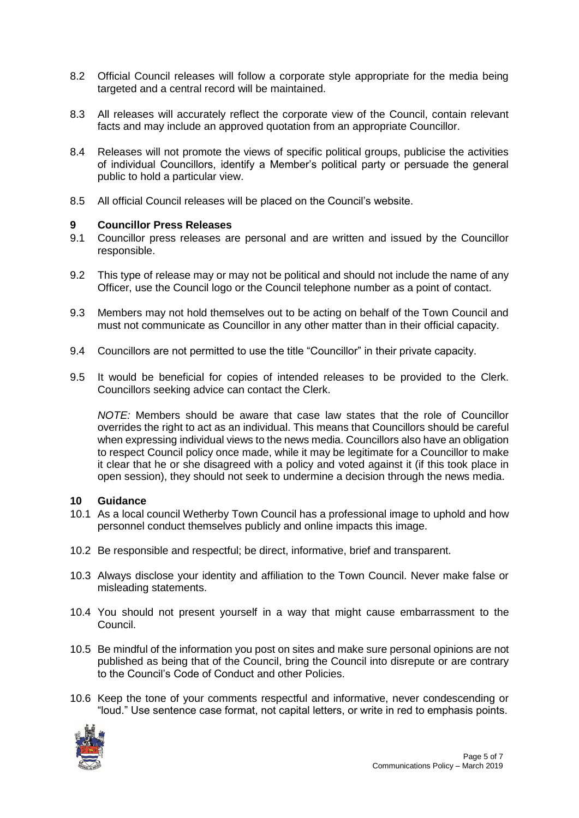- 8.2 Official Council releases will follow a corporate style appropriate for the media being targeted and a central record will be maintained.
- 8.3 All releases will accurately reflect the corporate view of the Council, contain relevant facts and may include an approved quotation from an appropriate Councillor.
- 8.4 Releases will not promote the views of specific political groups, publicise the activities of individual Councillors, identify a Member's political party or persuade the general public to hold a particular view.
- 8.5 All official Council releases will be placed on the Council's website.

#### <span id="page-4-0"></span>**9 Councillor Press Releases**

- 9.1 Councillor press releases are personal and are written and issued by the Councillor responsible.
- 9.2 This type of release may or may not be political and should not include the name of any Officer, use the Council logo or the Council telephone number as a point of contact.
- 9.3 Members may not hold themselves out to be acting on behalf of the Town Council and must not communicate as Councillor in any other matter than in their official capacity.
- 9.4 Councillors are not permitted to use the title "Councillor" in their private capacity.
- 9.5 It would be beneficial for copies of intended releases to be provided to the Clerk. Councillors seeking advice can contact the Clerk.

*NOTE:* Members should be aware that case law states that the role of Councillor overrides the right to act as an individual. This means that Councillors should be careful when expressing individual views to the news media. Councillors also have an obligation to respect Council policy once made, while it may be legitimate for a Councillor to make it clear that he or she disagreed with a policy and voted against it (if this took place in open session), they should not seek to undermine a decision through the news media.

#### <span id="page-4-1"></span>**10 Guidance**

- 10.1 As a local council Wetherby Town Council has a professional image to uphold and how personnel conduct themselves publicly and online impacts this image.
- 10.2 Be responsible and respectful; be direct, informative, brief and transparent.
- 10.3 Always disclose your identity and affiliation to the Town Council. Never make false or misleading statements.
- 10.4 You should not present yourself in a way that might cause embarrassment to the Council.
- 10.5 Be mindful of the information you post on sites and make sure personal opinions are not published as being that of the Council, bring the Council into disrepute or are contrary to the Council's Code of Conduct and other Policies.
- 10.6 Keep the tone of your comments respectful and informative, never condescending or "loud." Use sentence case format, not capital letters, or write in red to emphasis points.

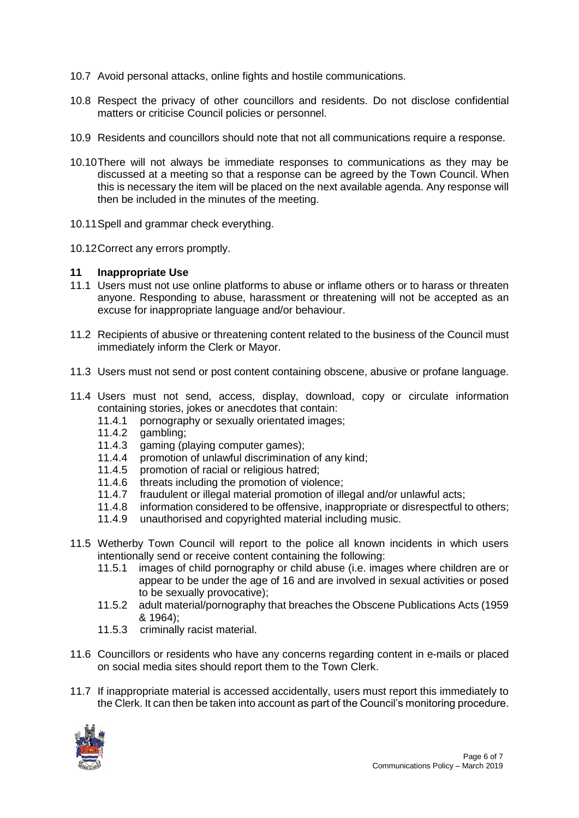- 10.7 Avoid personal attacks, online fights and hostile communications.
- 10.8 Respect the privacy of other councillors and residents. Do not disclose confidential matters or criticise Council policies or personnel.
- 10.9 Residents and councillors should note that not all communications require a response.
- 10.10There will not always be immediate responses to communications as they may be discussed at a meeting so that a response can be agreed by the Town Council. When this is necessary the item will be placed on the next available agenda. Any response will then be included in the minutes of the meeting.
- 10.11Spell and grammar check everything.
- <span id="page-5-0"></span>10.12Correct any errors promptly.

#### **11 Inappropriate Use**

- 11.1 Users must not use online platforms to abuse or inflame others or to harass or threaten anyone. Responding to abuse, harassment or threatening will not be accepted as an excuse for inappropriate language and/or behaviour.
- 11.2 Recipients of abusive or threatening content related to the business of the Council must immediately inform the Clerk or Mayor.
- 11.3 Users must not send or post content containing obscene, abusive or profane language.
- 11.4 Users must not send, access, display, download, copy or circulate information containing stories, jokes or anecdotes that contain:
	- 11.4.1 pornography or sexually orientated images;
	- 11.4.2 gambling;
	- 11.4.3 gaming (playing computer games);
	- 11.4.4 promotion of unlawful discrimination of any kind;
	- 11.4.5 promotion of racial or religious hatred;
	- 11.4.6 threats including the promotion of violence;
	- 11.4.7 fraudulent or illegal material promotion of illegal and/or unlawful acts;<br>11.4.8 information considered to be offensive, inappropriate or disrespectful t
	- information considered to be offensive, inappropriate or disrespectful to others;
	- 11.4.9 unauthorised and copyrighted material including music.
- 11.5 Wetherby Town Council will report to the police all known incidents in which users intentionally send or receive content containing the following:
	- 11.5.1 images of child pornography or child abuse (i.e. images where children are or appear to be under the age of 16 and are involved in sexual activities or posed to be sexually provocative);
	- 11.5.2 adult material/pornography that breaches the Obscene Publications Acts (1959 & 1964);
	- 11.5.3 criminally racist material.
- 11.6 Councillors or residents who have any concerns regarding content in e-mails or placed on social media sites should report them to the Town Clerk.
- 11.7 If inappropriate material is accessed accidentally, users must report this immediately to the Clerk. It can then be taken into account as part of the Council's monitoring procedure.